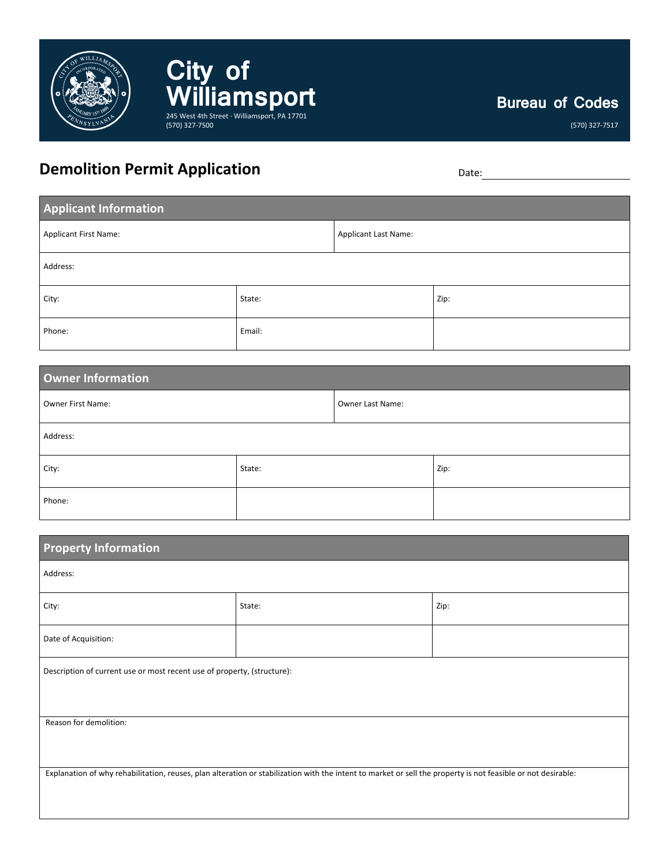

## **Bureau of Codes**

(570) 327-7517

## **Demolition Permit Application** Demolition Date:

**City of** 

(570) 327-7500

William Sport

| <b>Applicant Information</b> |        |                      |      |  |
|------------------------------|--------|----------------------|------|--|
| Applicant First Name:        |        | Applicant Last Name: |      |  |
| Address:                     |        |                      |      |  |
| City:                        | State: |                      | Zip: |  |
| Phone:                       | Email: |                      |      |  |

| <b>Owner Information</b> |        |                  |      |  |
|--------------------------|--------|------------------|------|--|
| Owner First Name:        |        | Owner Last Name: |      |  |
| Address:                 |        |                  |      |  |
| City:                    | State: |                  | Zip: |  |
| Phone:                   |        |                  |      |  |

| <b>Property Information</b>                                                                                                                                  |        |      |  |  |
|--------------------------------------------------------------------------------------------------------------------------------------------------------------|--------|------|--|--|
| Address:                                                                                                                                                     |        |      |  |  |
| City:                                                                                                                                                        | State: | Zip: |  |  |
| Date of Acquisition:                                                                                                                                         |        |      |  |  |
| Description of current use or most recent use of property, (structure):                                                                                      |        |      |  |  |
| Reason for demolition:                                                                                                                                       |        |      |  |  |
| Explanation of why rehabilitation, reuses, plan alteration or stabilization with the intent to market or sell the property is not feasible or not desirable: |        |      |  |  |